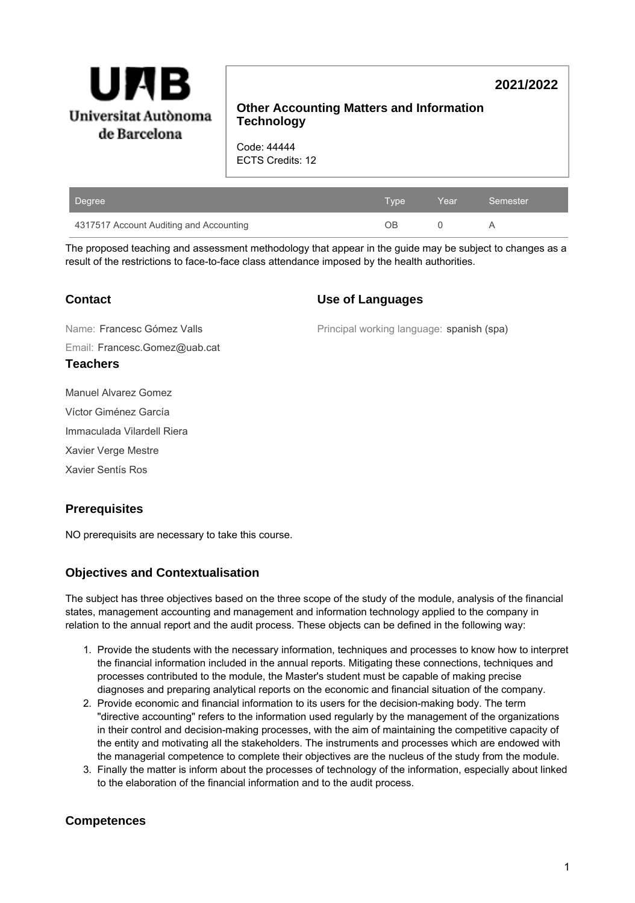

# **2021/2022**

# **Other Accounting Matters and Information Technology**

Code: 44444 ECTS Credits: 12

| Degree                                  | Type | Year | Semester |
|-----------------------------------------|------|------|----------|
| 4317517 Account Auditing and Accounting | ΟB   |      |          |

The proposed teaching and assessment methodology that appear in the guide may be subject to changes as a result of the restrictions to face-to-face class attendance imposed by the health authorities.

**Teachers**

### **Use of Languages**

Email: Francesc.Gomez@uab.cat Name: Francesc Gómez Valls

Principal working language: spanish (spa)

Manuel Alvarez Gomez

Víctor Giménez García

Immaculada Vilardell Riera

Xavier Verge Mestre

Xavier Sentís Ros

# **Prerequisites**

NO prerequisits are necessary to take this course.

# **Objectives and Contextualisation**

The subject has three objectives based on the three scope of the study of the module, analysis of the financial states, management accounting and management and information technology applied to the company in relation to the annual report and the audit process. These objects can be defined in the following way:

- 1. Provide the students with the necessary information, techniques and processes to know how to interpret the financial information included in the annual reports. Mitigating these connections, techniques and processes contributed to the module, the Master's student must be capable of making precise diagnoses and preparing analytical reports on the economic and financial situation of the company.
- 2. Provide economic and financial information to its users for the decision-making body. The term "directive accounting" refers to the information used regularly by the management of the organizations in their control and decision-making processes, with the aim of maintaining the competitive capacity of the entity and motivating all the stakeholders. The instruments and processes which are endowed with the managerial competence to complete their objectives are the nucleus of the study from the module.
- 3. Finally the matter is inform about the processes of technology of the information, especially about linked to the elaboration of the financial information and to the audit process.

# **Competences**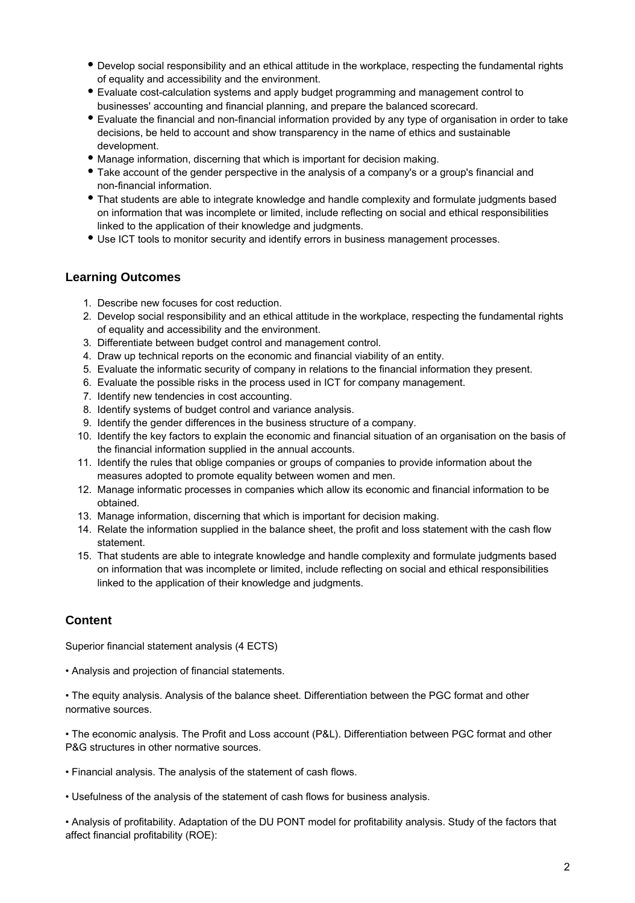- Develop social responsibility and an ethical attitude in the workplace, respecting the fundamental rights of equality and accessibility and the environment.
- Evaluate cost-calculation systems and apply budget programming and management control to businesses' accounting and financial planning, and prepare the balanced scorecard.
- Evaluate the financial and non-financial information provided by any type of organisation in order to take decisions, be held to account and show transparency in the name of ethics and sustainable development.
- Manage information, discerning that which is important for decision making.
- Take account of the gender perspective in the analysis of a company's or a group's financial and non-financial information.
- That students are able to integrate knowledge and handle complexity and formulate judgments based on information that was incomplete or limited, include reflecting on social and ethical responsibilities linked to the application of their knowledge and judgments.
- Use ICT tools to monitor security and identify errors in business management processes.

### **Learning Outcomes**

- 1. Describe new focuses for cost reduction.
- 2. Develop social responsibility and an ethical attitude in the workplace, respecting the fundamental rights of equality and accessibility and the environment.
- 3. Differentiate between budget control and management control.
- 4. Draw up technical reports on the economic and financial viability of an entity.
- 5. Evaluate the informatic security of company in relations to the financial information they present.
- 6. Evaluate the possible risks in the process used in ICT for company management.
- 7. Identify new tendencies in cost accounting.
- 8. Identify systems of budget control and variance analysis.
- 9. Identify the gender differences in the business structure of a company.
- 10. Identify the key factors to explain the economic and financial situation of an organisation on the basis of the financial information supplied in the annual accounts.
- 11. Identify the rules that oblige companies or groups of companies to provide information about the measures adopted to promote equality between women and men.
- 12. Manage informatic processes in companies which allow its economic and financial information to be obtained.
- 13. Manage information, discerning that which is important for decision making.
- 14. Relate the information supplied in the balance sheet, the profit and loss statement with the cash flow statement.
- 15. That students are able to integrate knowledge and handle complexity and formulate judgments based on information that was incomplete or limited, include reflecting on social and ethical responsibilities linked to the application of their knowledge and judgments.

# **Content**

Superior financial statement analysis (4 ECTS)

• Analysis and projection of financial statements.

• The equity analysis. Analysis of the balance sheet. Differentiation between the PGC format and other normative sources.

• The economic analysis. The Profit and Loss account (P&L). Differentiation between PGC format and other P&G structures in other normative sources.

- Financial analysis. The analysis of the statement of cash flows.
- Usefulness of the analysis of the statement of cash flows for business analysis.

• Analysis of profitability. Adaptation of the DU PONT model for profitability analysis. Study of the factors that affect financial profitability (ROE):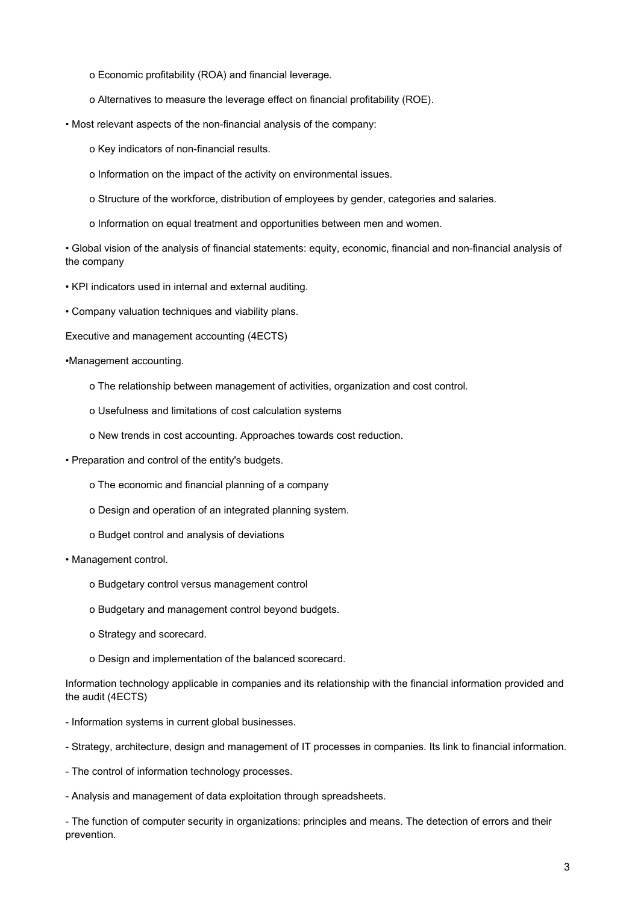- o Economic profitability (ROA) and financial leverage.
- o Alternatives to measure the leverage effect on financial profitability (ROE).
- Most relevant aspects of the non-financial analysis of the company:
	- o Key indicators of non-financial results.
	- o Information on the impact of the activity on environmental issues.
	- o Structure of the workforce, distribution of employees by gender, categories and salaries.
	- o Information on equal treatment and opportunities between men and women.

• Global vision of the analysis of financial statements: equity, economic, financial and non-financial analysis of the company

- KPI indicators used in internal and external auditing.
- Company valuation techniques and viability plans.
- Executive and management accounting (4ECTS)
- •Management accounting.
	- o The relationship between management of activities, organization and cost control.
	- o Usefulness and limitations of cost calculation systems
	- o New trends in cost accounting. Approaches towards cost reduction.
- Preparation and control of the entity's budgets.
	- o The economic and financial planning of a company
	- o Design and operation of an integrated planning system.
	- o Budget control and analysis of deviations
- Management control.
	- o Budgetary control versus management control
	- o Budgetary and management control beyond budgets.
	- o Strategy and scorecard.
	- o Design and implementation of the balanced scorecard.

Information technology applicable in companies and its relationship with the financial information provided and the audit (4ECTS)

- Information systems in current global businesses.
- Strategy, architecture, design and management of IT processes in companies. Its link to financial information.
- The control of information technology processes.
- Analysis and management of data exploitation through spreadsheets.

- The function of computer security in organizations: principles and means. The detection of errors and their prevention.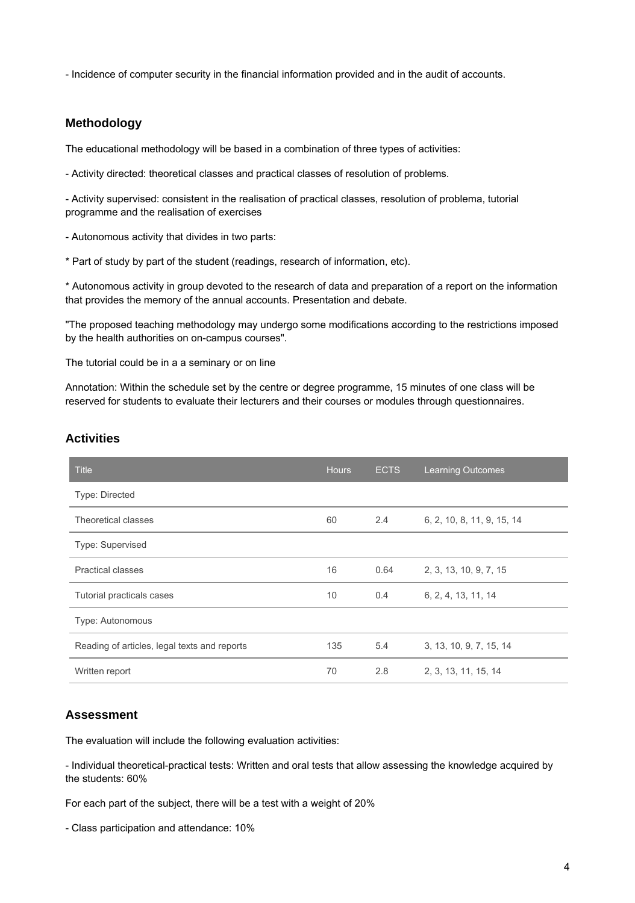- Incidence of computer security in the financial information provided and in the audit of accounts.

#### **Methodology**

The educational methodology will be based in a combination of three types of activities:

- Activity directed: theoretical classes and practical classes of resolution of problems.

- Activity supervised: consistent in the realisation of practical classes, resolution of problema, tutorial programme and the realisation of exercises

- Autonomous activity that divides in two parts:

\* Part of study by part of the student (readings, research of information, etc).

\* Autonomous activity in group devoted to the research of data and preparation of a report on the information that provides the memory of the annual accounts. Presentation and debate.

"The proposed teaching methodology may undergo some modifications according to the restrictions imposed by the health authorities on on-campus courses".

The tutorial could be in a a seminary or on line

Annotation: Within the schedule set by the centre or degree programme, 15 minutes of one class will be reserved for students to evaluate their lecturers and their courses or modules through questionnaires.

| <b>Title</b>                                 | <b>Hours</b> | <b>ECTS</b>   | <b>Learning Outcomes</b>   |
|----------------------------------------------|--------------|---------------|----------------------------|
| Type: Directed                               |              |               |                            |
| Theoretical classes                          | 60           | 2.4           | 6, 2, 10, 8, 11, 9, 15, 14 |
| Type: Supervised                             |              |               |                            |
| <b>Practical classes</b>                     | 16           | 0.64          | 2, 3, 13, 10, 9, 7, 15     |
| Tutorial practicals cases                    | 10           | $0.4^{\circ}$ | 6, 2, 4, 13, 11, 14        |
| Type: Autonomous                             |              |               |                            |
| Reading of articles, legal texts and reports | 135          | 5.4           | 3, 13, 10, 9, 7, 15, 14    |
| Written report                               | 70           | 2.8           | 2, 3, 13, 11, 15, 14       |

#### **Activities**

#### **Assessment**

The evaluation will include the following evaluation activities:

- Individual theoretical-practical tests: Written and oral tests that allow assessing the knowledge acquired by the students: 60%

For each part of the subject, there will be a test with a weight of 20%

- Class participation and attendance: 10%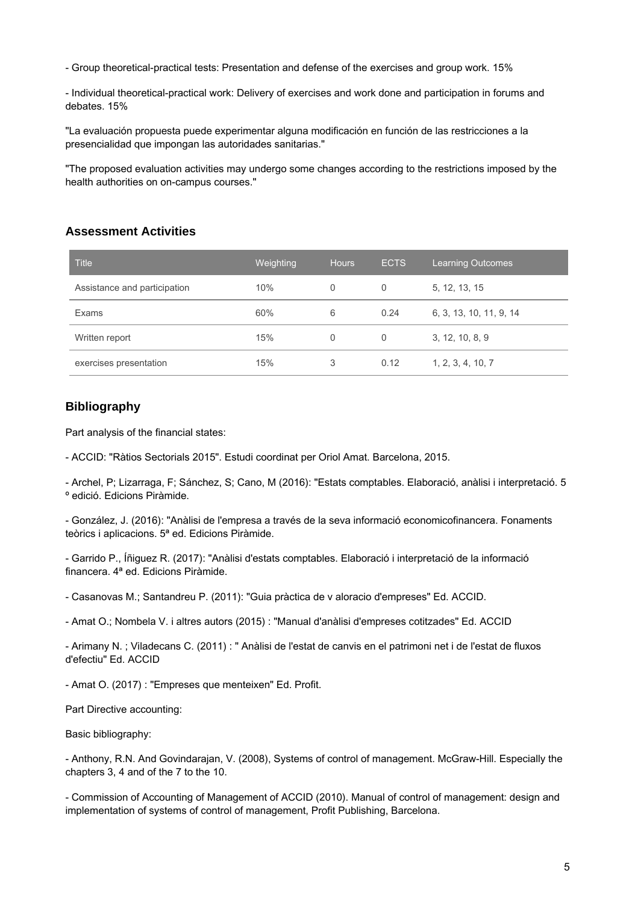- Group theoretical-practical tests: Presentation and defense of the exercises and group work. 15%

- Individual theoretical-practical work: Delivery of exercises and work done and participation in forums and debates. 15%

"La evaluación propuesta puede experimentar alguna modificación en función de las restricciones a la presencialidad que impongan las autoridades sanitarias."

"The proposed evaluation activities may undergo some changes according to the restrictions imposed by the health authorities on on-campus courses."

### **Assessment Activities**

| <b>Title</b>                 | Weighting | <b>Hours</b> | <b>ECTS</b> | <b>Learning Outcomes</b> |
|------------------------------|-----------|--------------|-------------|--------------------------|
| Assistance and participation | 10%       | 0            | 0           | 5, 12, 13, 15            |
| <b>Exams</b>                 | 60%       | 6            | 0.24        | 6, 3, 13, 10, 11, 9, 14  |
| Written report               | 15%       | 0            | 0           | 3, 12, 10, 8, 9          |
| exercises presentation       | 15%       | 3            | 0.12        | 1, 2, 3, 4, 10, 7        |

### **Bibliography**

Part analysis of the financial states:

- ACCID: "Ràtios Sectorials 2015". Estudi coordinat per Oriol Amat. Barcelona, 2015.

- Archel, P; Lizarraga, F; Sánchez, S; Cano, M (2016): "Estats comptables. Elaboració, anàlisi i interpretació. 5 º edició. Edicions Piràmide.

- González, J. (2016): "Anàlisi de l'empresa a través de la seva informació economicofinancera. Fonaments teòrics i aplicacions. 5ª ed. Edicions Piràmide.

- Garrido P., Íñiguez R. (2017): "Anàlisi d'estats comptables. Elaboració i interpretació de la informació financera. 4ª ed. Edicions Piràmide.

- Casanovas M.; Santandreu P. (2011): "Guia pràctica de v aloracio d'empreses" Ed. ACCID.

- Amat O.; Nombela V. i altres autors (2015) : "Manual d'anàlisi d'empreses cotitzades" Ed. ACCID

- Arimany N. ; Viladecans C. (2011) : " Anàlisi de l'estat de canvis en el patrimoni net i de l'estat de fluxos d'efectiu" Ed. ACCID

- Amat O. (2017) : "Empreses que menteixen" Ed. Profit.

Part Directive accounting:

Basic bibliography:

- Anthony, R.N. And Govindarajan, V. (2008), Systems of control of management. McGraw-Hill. Especially the chapters 3, 4 and of the 7 to the 10.

- Commission of Accounting of Management of ACCID (2010). Manual of control of management: design and implementation of systems of control of management, Profit Publishing, Barcelona.